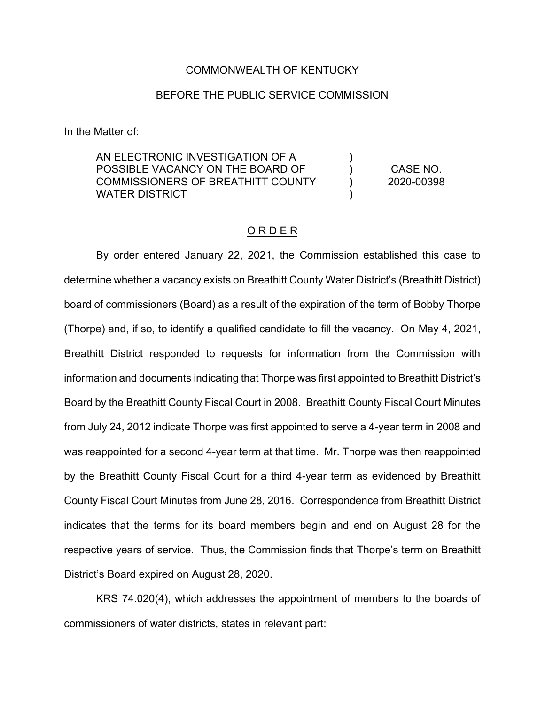#### COMMONWEALTH OF KENTUCKY

### BEFORE THE PUBLIC SERVICE COMMISSION

In the Matter of:

AN ELECTRONIC INVESTIGATION OF A POSSIBLE VACANCY ON THE BOARD OF COMMISSIONERS OF BREATHITT COUNTY WATER DISTRICT  $\lambda$ )  $\lambda$ ) CASE NO. 2020-00398

### O R D E R

By order entered January 22, 2021, the Commission established this case to determine whether a vacancy exists on Breathitt County Water District's (Breathitt District) board of commissioners (Board) as a result of the expiration of the term of Bobby Thorpe (Thorpe) and, if so, to identify a qualified candidate to fill the vacancy. On May 4, 2021, Breathitt District responded to requests for information from the Commission with information and documents indicating that Thorpe was first appointed to Breathitt District's Board by the Breathitt County Fiscal Court in 2008. Breathitt County Fiscal Court Minutes from July 24, 2012 indicate Thorpe was first appointed to serve a 4-year term in 2008 and was reappointed for a second 4-year term at that time. Mr. Thorpe was then reappointed by the Breathitt County Fiscal Court for a third 4-year term as evidenced by Breathitt County Fiscal Court Minutes from June 28, 2016. Correspondence from Breathitt District indicates that the terms for its board members begin and end on August 28 for the respective years of service. Thus, the Commission finds that Thorpe's term on Breathitt District's Board expired on August 28, 2020.

KRS 74.020(4), which addresses the appointment of members to the boards of commissioners of water districts, states in relevant part: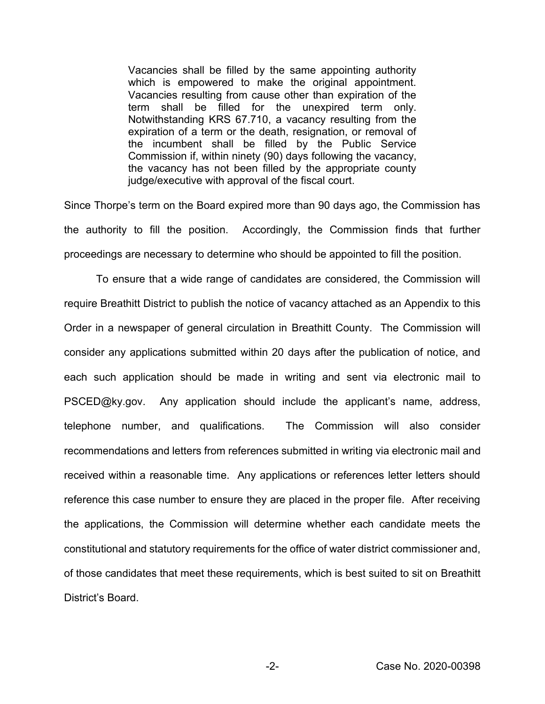Vacancies shall be filled by the same appointing authority which is empowered to make the original appointment. Vacancies resulting from cause other than expiration of the term shall be filled for the unexpired term only. Notwithstanding KRS 67.710, a vacancy resulting from the expiration of a term or the death, resignation, or removal of the incumbent shall be filled by the Public Service Commission if, within ninety (90) days following the vacancy, the vacancy has not been filled by the appropriate county judge/executive with approval of the fiscal court.

Since Thorpe's term on the Board expired more than 90 days ago, the Commission has the authority to fill the position. Accordingly, the Commission finds that further proceedings are necessary to determine who should be appointed to fill the position.

To ensure that a wide range of candidates are considered, the Commission will require Breathitt District to publish the notice of vacancy attached as an Appendix to this Order in a newspaper of general circulation in Breathitt County. The Commission will consider any applications submitted within 20 days after the publication of notice, and each such application should be made in writing and sent via electronic mail to PSCED@ky.gov. Any application should include the applicant's name, address, telephone number, and qualifications. The Commission will also consider recommendations and letters from references submitted in writing via electronic mail and received within a reasonable time. Any applications or references letter letters should reference this case number to ensure they are placed in the proper file. After receiving the applications, the Commission will determine whether each candidate meets the constitutional and statutory requirements for the office of water district commissioner and, of those candidates that meet these requirements, which is best suited to sit on Breathitt District's Board.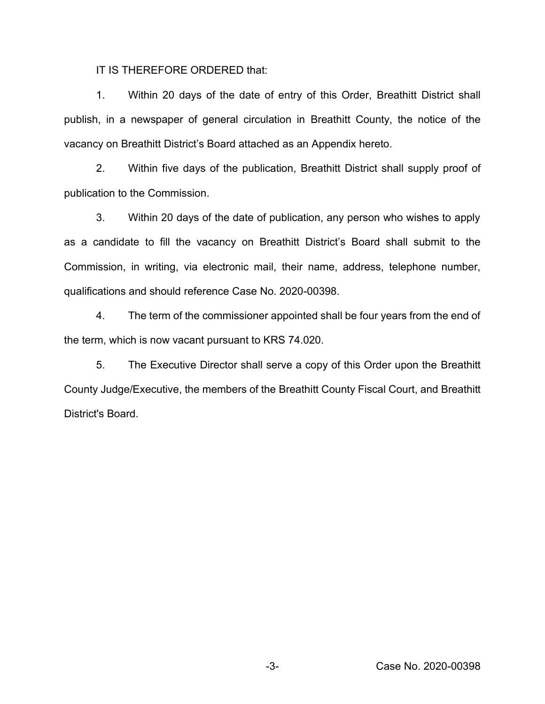IT IS THEREFORE ORDERED that:

1. Within 20 days of the date of entry of this Order, Breathitt District shall publish, in a newspaper of general circulation in Breathitt County, the notice of the vacancy on Breathitt District's Board attached as an Appendix hereto.

2. Within five days of the publication, Breathitt District shall supply proof of publication to the Commission.

3. Within 20 days of the date of publication, any person who wishes to apply as a candidate to fill the vacancy on Breathitt District's Board shall submit to the Commission, in writing, via electronic mail, their name, address, telephone number, qualifications and should reference Case No. 2020-00398.

4. The term of the commissioner appointed shall be four years from the end of the term, which is now vacant pursuant to KRS 74.020.

5. The Executive Director shall serve a copy of this Order upon the Breathitt County Judge/Executive, the members of the Breathitt County Fiscal Court, and Breathitt District's Board.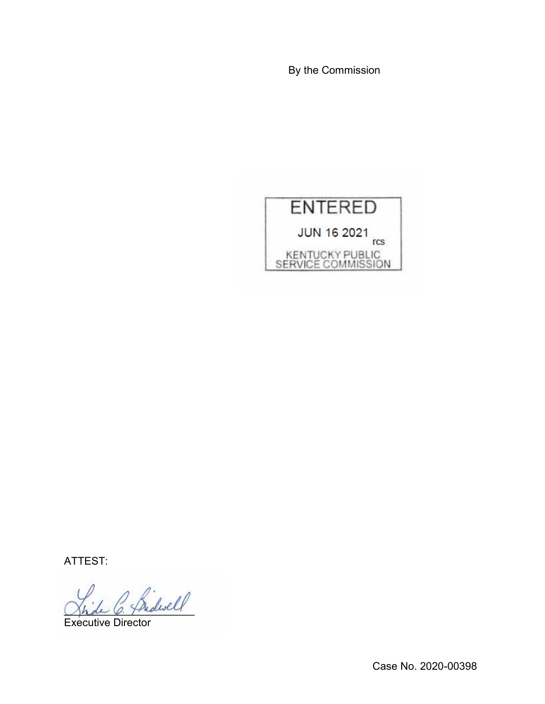By the Commission



ATTEST:

 $^{\prime}$  friderell

Executive Director

Case No. 2020-00398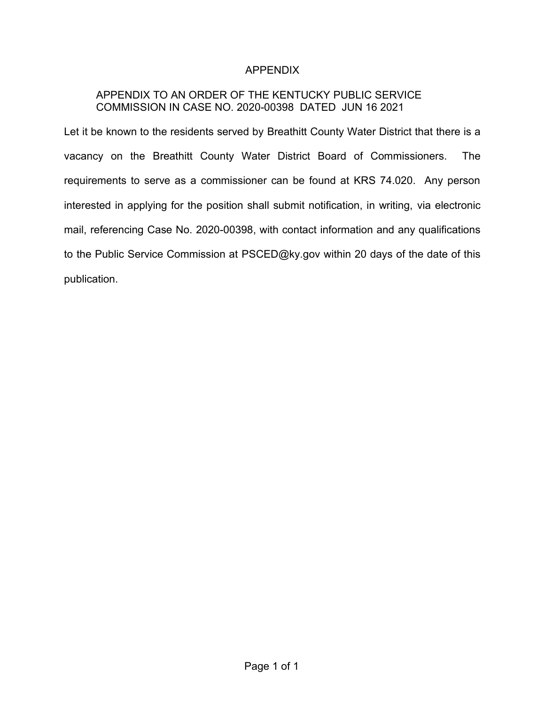# APPENDIX

# APPENDIX TO AN ORDER OF THE KENTUCKY PUBLIC SERVICE COMMISSION IN CASE NO. 2020-00398 DATED JUN 16 2021

Let it be known to the residents served by Breathitt County Water District that there is a vacancy on the Breathitt County Water District Board of Commissioners. The requirements to serve as a commissioner can be found at KRS 74.020. Any person interested in applying for the position shall submit notification, in writing, via electronic mail, referencing Case No. 2020-00398, with contact information and any qualifications to the Public Service Commission at PSCED@ky.gov within 20 days of the date of this publication.